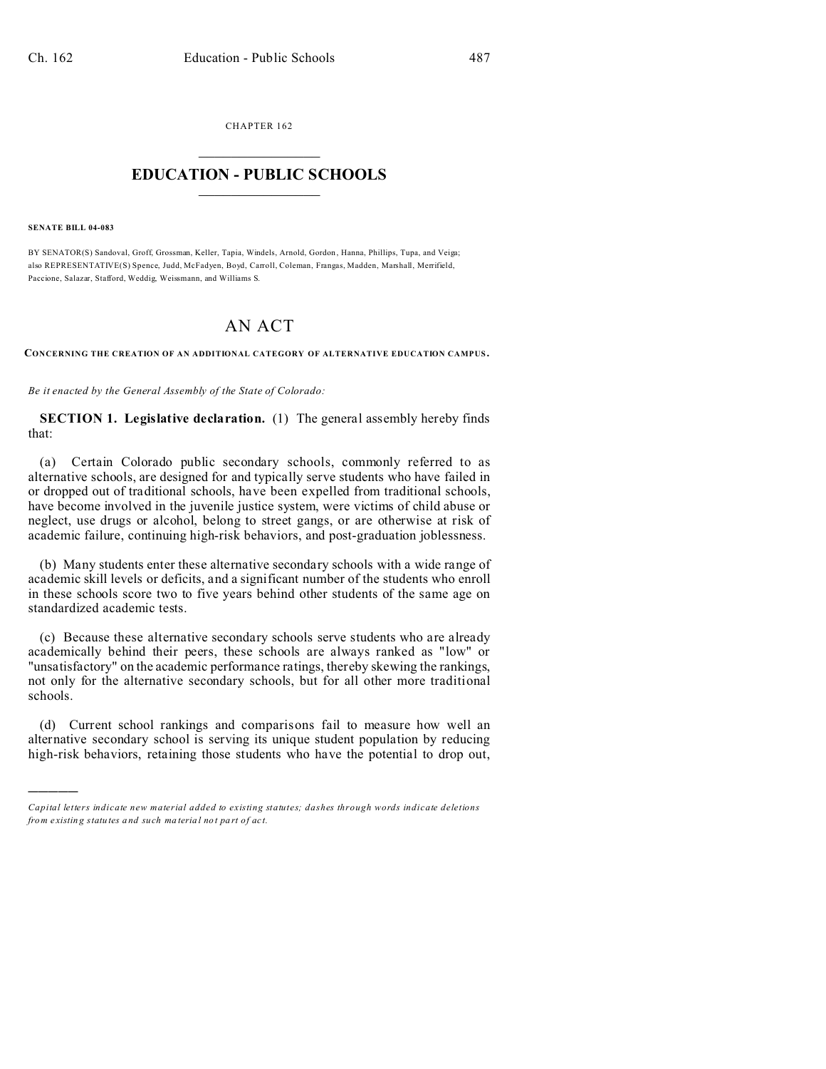CHAPTER 162  $\overline{\phantom{a}}$  , where  $\overline{\phantom{a}}$ 

## **EDUCATION - PUBLIC SCHOOLS**  $\_$   $\_$   $\_$   $\_$   $\_$   $\_$   $\_$   $\_$   $\_$

## **SENATE BILL 04-083**

)))))

BY SENATOR(S) Sandoval, Groff, Grossman, Keller, Tapia, Windels, Arnold, Gordon , Hanna, Phillips, Tupa, and Veiga; also REPRESENTATIVE(S) Spence, Judd, McFadyen, Boyd, Carroll, Coleman, Frangas, Madden, Marshall, Merrifield, Paccione, Salazar, Stafford, Weddig, Weissmann, and Williams S.

## AN ACT

**CONCERNING THE CREATION OF AN ADDITIONAL CATEGORY OF ALTERNATIVE EDUCATION CAMPUS .**

*Be it enacted by the General Assembly of the State of Colorado:*

**SECTION 1. Legislative declaration.** (1) The general assembly hereby finds that:

(a) Certain Colorado public secondary schools, commonly referred to as alternative schools, are designed for and typically serve students who have failed in or dropped out of traditional schools, have been expelled from traditional schools, have become involved in the juvenile justice system, were victims of child abuse or neglect, use drugs or alcohol, belong to street gangs, or are otherwise at risk of academic failure, continuing high-risk behaviors, and post-graduation joblessness.

(b) Many students enter these alternative secondary schools with a wide range of academic skill levels or deficits, and a significant number of the students who enroll in these schools score two to five years behind other students of the same age on standardized academic tests.

(c) Because these alternative secondary schools serve students who are already academically behind their peers, these schools are always ranked as "low" or "unsatisfactory" on the academic performance ratings, thereby skewing the rankings, not only for the alternative secondary schools, but for all other more traditional schools.

(d) Current school rankings and comparisons fail to measure how well an alternative secondary school is serving its unique student population by reducing high-risk behaviors, retaining those students who have the potential to drop out,

*Capital letters indicate new material added to existing statutes; dashes through words indicate deletions from e xistin g statu tes a nd such ma teria l no t pa rt of ac t.*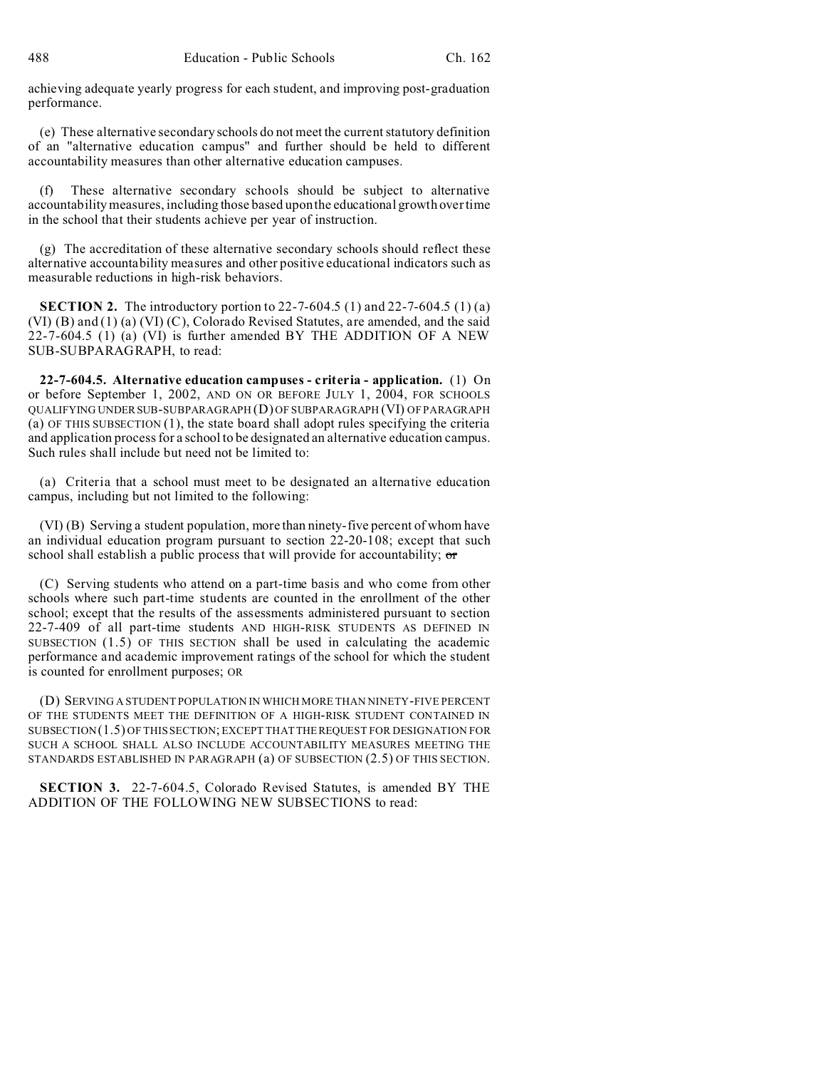achieving adequate yearly progress for each student, and improving post-graduation performance.

(e) These alternative secondary schools do not meet the current statutory definition of an "alternative education campus" and further should be held to different accountability measures than other alternative education campuses.

(f) These alternative secondary schools should be subject to alternative accountability measures, including those based upon the educational growth over time in the school that their students achieve per year of instruction.

(g) The accreditation of these alternative secondary schools should reflect these alternative accountability measures and other positive educational indicators such as measurable reductions in high-risk behaviors.

**SECTION 2.** The introductory portion to 22-7-604.5 (1) and 22-7-604.5 (1) (a) (VI) (B) and (1) (a) (VI) (C), Colorado Revised Statutes, are amended, and the said  $22-7-604.5$  (1) (a) (VI) is further amended BY THE ADDITION OF A NEW SUB-SUBPARAGRAPH, to read:

**22-7-604.5. Alternative education campuses - criteria - application.** (1) On or before September 1, 2002, AND ON OR BEFORE JULY 1, 2004, FOR SCHOOLS QUALIFYING UNDER SUB-SUBPARAGRAPH (D) OF SUBPARAGRAPH (VI) OF PARAGRAPH (a) OF THIS SUBSECTION (1), the state board shall adopt rules specifying the criteria and application process for a school to be designated an alternative education campus. Such rules shall include but need not be limited to:

(a) Criteria that a school must meet to be designated an alternative education campus, including but not limited to the following:

(VI) (B) Serving a student population, more than ninety-five percent of whom have an individual education program pursuant to section 22-20-108; except that such school shall establish a public process that will provide for accountability;  $\sigma$ 

(C) Serving students who attend on a part-time basis and who come from other schools where such part-time students are counted in the enrollment of the other school; except that the results of the assessments administered pursuant to section 22-7-409 of all part-time students AND HIGH-RISK STUDENTS AS DEFINED IN SUBSECTION (1.5) OF THIS SECTION shall be used in calculating the academic performance and academic improvement ratings of the school for which the student is counted for enrollment purposes; OR

(D) SERVING A STUDENT POPULATION IN WHICH MORE THAN NINETY-FIVE PERCENT OF THE STUDENTS MEET THE DEFINITION OF A HIGH-RISK STUDENT CONTAINED IN SUBSECTION(1.5) OF THIS SECTION; EXCEPT THATTHEREQUEST FOR DESIGNATION FOR SUCH A SCHOOL SHALL ALSO INCLUDE ACCOUNTABILITY MEASURES MEETING THE STANDARDS ESTABLISHED IN PARAGRAPH (a) OF SUBSECTION (2.5) OF THIS SECTION.

**SECTION 3.** 22-7-604.5, Colorado Revised Statutes, is amended BY THE ADDITION OF THE FOLLOWING NEW SUBSECTIONS to read: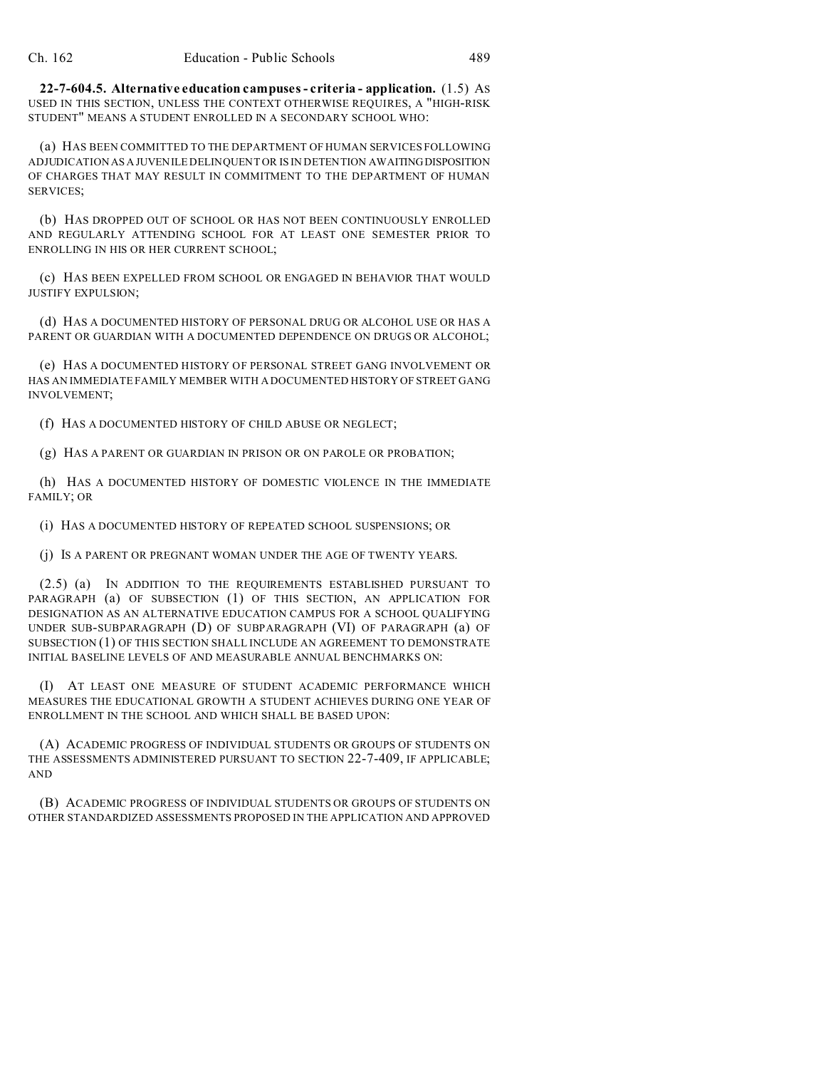**22-7-604.5. Alternative education campuses - criteria - application.** (1.5) AS USED IN THIS SECTION, UNLESS THE CONTEXT OTHERWISE REQUIRES, A "HIGH-RISK STUDENT" MEANS A STUDENT ENROLLED IN A SECONDARY SCHOOL WHO:

(a) HAS BEEN COMMITTED TO THE DEPARTMENT OF HUMAN SERVICES FOLLOWING ADJUDICATION AS A JUVENILE DELINQUENT OR IS IN DETENTION AWAITINGDISPOSITION OF CHARGES THAT MAY RESULT IN COMMITMENT TO THE DEPARTMENT OF HUMAN SERVICES;

(b) HAS DROPPED OUT OF SCHOOL OR HAS NOT BEEN CONTINUOUSLY ENROLLED AND REGULARLY ATTENDING SCHOOL FOR AT LEAST ONE SEMESTER PRIOR TO ENROLLING IN HIS OR HER CURRENT SCHOOL;

(c) HAS BEEN EXPELLED FROM SCHOOL OR ENGAGED IN BEHAVIOR THAT WOULD JUSTIFY EXPULSION;

(d) HAS A DOCUMENTED HISTORY OF PERSONAL DRUG OR ALCOHOL USE OR HAS A PARENT OR GUARDIAN WITH A DOCUMENTED DEPENDENCE ON DRUGS OR ALCOHOL;

(e) HAS A DOCUMENTED HISTORY OF PERSONAL STREET GANG INVOLVEMENT OR HAS AN IMMEDIATE FAMILY MEMBER WITH A DOCUMENTED HISTORY OF STREET GANG INVOLVEMENT;

(f) HAS A DOCUMENTED HISTORY OF CHILD ABUSE OR NEGLECT;

(g) HAS A PARENT OR GUARDIAN IN PRISON OR ON PAROLE OR PROBATION;

(h) HAS A DOCUMENTED HISTORY OF DOMESTIC VIOLENCE IN THE IMMEDIATE FAMILY; OR

(i) HAS A DOCUMENTED HISTORY OF REPEATED SCHOOL SUSPENSIONS; OR

(j) IS A PARENT OR PREGNANT WOMAN UNDER THE AGE OF TWENTY YEARS.

(2.5) (a) IN ADDITION TO THE REQUIREMENTS ESTABLISHED PURSUANT TO PARAGRAPH (a) OF SUBSECTION (1) OF THIS SECTION, AN APPLICATION FOR DESIGNATION AS AN ALTERNATIVE EDUCATION CAMPUS FOR A SCHOOL QUALIFYING UNDER SUB-SUBPARAGRAPH (D) OF SUBPARAGRAPH (VI) OF PARAGRAPH (a) OF SUBSECTION (1) OF THIS SECTION SHALL INCLUDE AN AGREEMENT TO DEMONSTRATE INITIAL BASELINE LEVELS OF AND MEASURABLE ANNUAL BENCHMARKS ON:

(I) AT LEAST ONE MEASURE OF STUDENT ACADEMIC PERFORMANCE WHICH MEASURES THE EDUCATIONAL GROWTH A STUDENT ACHIEVES DURING ONE YEAR OF ENROLLMENT IN THE SCHOOL AND WHICH SHALL BE BASED UPON:

(A) ACADEMIC PROGRESS OF INDIVIDUAL STUDENTS OR GROUPS OF STUDENTS ON THE ASSESSMENTS ADMINISTERED PURSUANT TO SECTION 22-7-409, IF APPLICABLE; AND

(B) ACADEMIC PROGRESS OF INDIVIDUAL STUDENTS OR GROUPS OF STUDENTS ON OTHER STANDARDIZED ASSESSMENTS PROPOSED IN THE APPLICATION AND APPROVED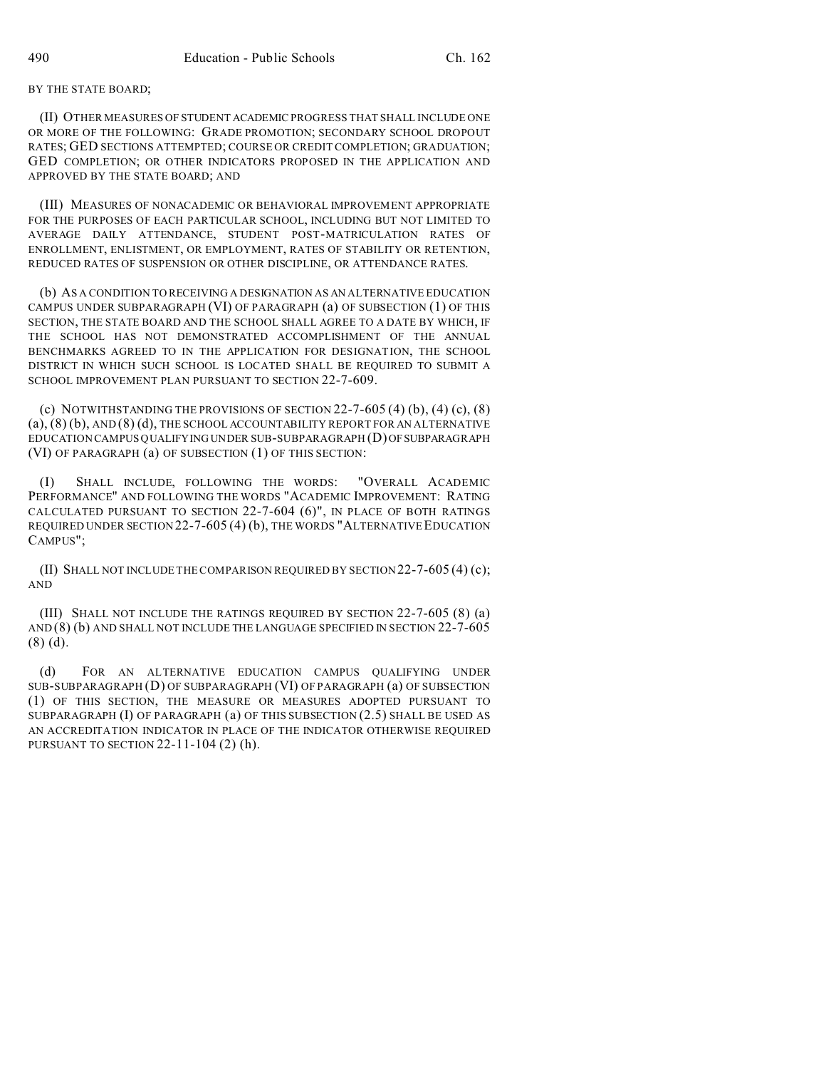## BY THE STATE BOARD;

(II) OTHER MEASURES OF STUDENT ACADEMIC PROGRESS THAT SHALL INCLUDE ONE OR MORE OF THE FOLLOWING: GRADE PROMOTION; SECONDARY SCHOOL DROPOUT RATES; GED SECTIONS ATTEMPTED; COURSE OR CREDIT COMPLETION; GRADUATION; GED COMPLETION; OR OTHER INDICATORS PROPOSED IN THE APPLICATION AND APPROVED BY THE STATE BOARD; AND

(III) MEASURES OF NONACADEMIC OR BEHAVIORAL IMPROVEMENT APPROPRIATE FOR THE PURPOSES OF EACH PARTICULAR SCHOOL, INCLUDING BUT NOT LIMITED TO AVERAGE DAILY ATTENDANCE, STUDENT POST-MATRICULATION RATES OF ENROLLMENT, ENLISTMENT, OR EMPLOYMENT, RATES OF STABILITY OR RETENTION, REDUCED RATES OF SUSPENSION OR OTHER DISCIPLINE, OR ATTENDANCE RATES.

(b) AS A CONDITION TO RECEIVING A DESIGNATION AS AN ALTERNATIVE EDUCATION CAMPUS UNDER SUBPARAGRAPH (VI) OF PARAGRAPH (a) OF SUBSECTION (1) OF THIS SECTION, THE STATE BOARD AND THE SCHOOL SHALL AGREE TO A DATE BY WHICH, IF THE SCHOOL HAS NOT DEMONSTRATED ACCOMPLISHMENT OF THE ANNUAL BENCHMARKS AGREED TO IN THE APPLICATION FOR DESIGNATION, THE SCHOOL DISTRICT IN WHICH SUCH SCHOOL IS LOCATED SHALL BE REQUIRED TO SUBMIT A SCHOOL IMPROVEMENT PLAN PURSUANT TO SECTION 22-7-609.

(c) NOTWITHSTANDING THE PROVISIONS OF SECTION  $22-7-605(4)$  (b),  $(4)$  (c),  $(8)$ (a), (8) (b), AND (8) (d), THE SCHOOL ACCOUNTABILITY REPORT FOR AN ALTERNATIVE EDUCATION CAMPUS QUALIFYING UNDER SUB-SUBPARAGRAPH (D) OFSUBPARAGRAPH (VI) OF PARAGRAPH (a) OF SUBSECTION (1) OF THIS SECTION:

(I) SHALL INCLUDE, FOLLOWING THE WORDS: "OVERALL ACADEMIC PERFORMANCE" AND FOLLOWING THE WORDS "ACADEMIC IMPROVEMENT: RATING CALCULATED PURSUANT TO SECTION 22-7-604 (6)", IN PLACE OF BOTH RATINGS REQUIRED UNDER SECTION 22-7-605 (4) (b), THE WORDS "ALTERNATIVE EDUCATION CAMPUS";

(II) SHALL NOT INCLUDE THE COMPARISON REQUIRED BY SECTION 22-7-605 (4) (c); AND

(III) SHALL NOT INCLUDE THE RATINGS REQUIRED BY SECTION 22-7-605 (8) (a) AND  $(8)$  (b) AND SHALL NOT INCLUDE THE LANGUAGE SPECIFIED IN SECTION 22-7-605 (8) (d).

(d) FOR AN ALTERNATIVE EDUCATION CAMPUS QUALIFYING UNDER SUB-SUBPARAGRAPH (D) OF SUBPARAGRAPH (VI) OF PARAGRAPH (a) OF SUBSECTION (1) OF THIS SECTION, THE MEASURE OR MEASURES ADOPTED PURSUANT TO SUBPARAGRAPH  $(I)$  OF PARAGRAPH  $(a)$  OF THIS SUBSECTION  $(2.5)$  SHALL BE USED AS AN ACCREDITATION INDICATOR IN PLACE OF THE INDICATOR OTHERWISE REQUIRED PURSUANT TO SECTION 22-11-104 (2) (h).